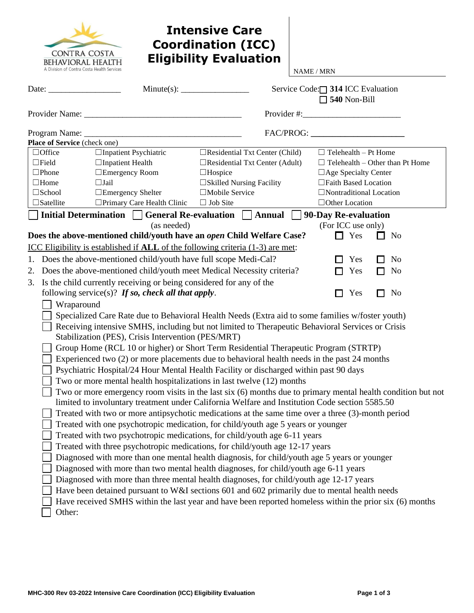| CONTRA COSTA                                                    |
|-----------------------------------------------------------------|
| BEHAVIORAL HEALTH<br>A Division of Contra Costa Health Services |

# **Intensive Care Coordination (ICC) Eligibility Evaluation**

NAME / MRN

| Place of Service (check one)                                                                                               |  |  |  |  |  |  |
|----------------------------------------------------------------------------------------------------------------------------|--|--|--|--|--|--|
|                                                                                                                            |  |  |  |  |  |  |
|                                                                                                                            |  |  |  |  |  |  |
|                                                                                                                            |  |  |  |  |  |  |
| $\Box$ Inpatient Psychiatric<br>$\Box$ Residential Txt Center (Child)<br>$\Box$ Office<br>$\Box$ Telehealth – Pt Home      |  |  |  |  |  |  |
| $\Box$ Field<br>$\Box$ Inpatient Health<br>$\Box$ Residential Txt Center (Adult)<br>$\Box$ Telehealth – Other than Pt Home |  |  |  |  |  |  |
| $\Box$ Phone<br>$\Box$ Emergency Room<br>$\Box$ Age Specialty Center<br>$\Box$ Hospice                                     |  |  |  |  |  |  |
| □ Skilled Nursing Facility<br>$\Box$ Home<br>$\Box$ Jail<br>□Faith Based Location                                          |  |  |  |  |  |  |
| □Emergency Shelter<br>□Mobile Service<br>$\Box$ Nontraditional Location<br>$\square$ School                                |  |  |  |  |  |  |
| □ Primary Care Health Clinic<br>$\Box$ Job Site<br>$\Box$ Satellite<br>$\Box$ Other Location                               |  |  |  |  |  |  |
| Initial Determination $\Box$ General Re-evaluation $\Box$ Annual<br>90-Day Re-evaluation<br>$\sim$                         |  |  |  |  |  |  |
| (as needed)<br>(For ICC use only)                                                                                          |  |  |  |  |  |  |
| Does the above-mentioned child/youth have an open Child Welfare Case?<br>Yes<br>П<br>No<br>$\mathcal{L}$                   |  |  |  |  |  |  |
| ICC Eligibility is established if ALL of the following criteria (1-3) are met:                                             |  |  |  |  |  |  |
| 1. Does the above-mentioned child/youth have full scope Medi-Cal?<br>Yes<br><b>No</b><br>П                                 |  |  |  |  |  |  |
|                                                                                                                            |  |  |  |  |  |  |
| Does the above-mentioned child/youth meet Medical Necessity criteria?<br>Yes<br>2.<br>No<br>П                              |  |  |  |  |  |  |
| 3. Is the child currently receiving or being considered for any of the                                                     |  |  |  |  |  |  |
| following service(s)? If so, check all that apply.<br>No<br>Yes<br>П<br>П                                                  |  |  |  |  |  |  |
| Wraparound                                                                                                                 |  |  |  |  |  |  |
| Specialized Care Rate due to Behavioral Health Needs (Extra aid to some families w/foster youth)                           |  |  |  |  |  |  |
| Receiving intensive SMHS, including but not limited to Therapeutic Behavioral Services or Crisis                           |  |  |  |  |  |  |
| Stabilization (PES), Crisis Intervention (PES/MRT)                                                                         |  |  |  |  |  |  |
| Group Home (RCL 10 or higher) or Short Term Residential Therapeutic Program (STRTP)                                        |  |  |  |  |  |  |
| Experienced two (2) or more placements due to behavioral health needs in the past 24 months                                |  |  |  |  |  |  |
| Psychiatric Hospital/24 Hour Mental Health Facility or discharged within past 90 days                                      |  |  |  |  |  |  |
| Two or more mental health hospitalizations in last twelve (12) months                                                      |  |  |  |  |  |  |
|                                                                                                                            |  |  |  |  |  |  |
| Two or more emergency room visits in the last six (6) months due to primary mental health condition but not                |  |  |  |  |  |  |
| limited to involuntary treatment under California Welfare and Institution Code section 5585.50                             |  |  |  |  |  |  |
| Treated with two or more antipsychotic medications at the same time over a three (3)-month period                          |  |  |  |  |  |  |
| Treated with one psychotropic medication, for child/youth age 5 years or younger                                           |  |  |  |  |  |  |
| Treated with two psychotropic medications, for child/youth age 6-11 years                                                  |  |  |  |  |  |  |
| Treated with three psychotropic medications, for child/youth age 12-17 years                                               |  |  |  |  |  |  |
| Diagnosed with more than one mental health diagnosis, for child/youth age 5 years or younger                               |  |  |  |  |  |  |
| Diagnosed with more than two mental health diagnoses, for child/youth age 6-11 years                                       |  |  |  |  |  |  |
| Diagnosed with more than three mental health diagnoses, for child/youth age 12-17 years                                    |  |  |  |  |  |  |
| Have been detained pursuant to W&I sections 601 and 602 primarily due to mental health needs                               |  |  |  |  |  |  |
| Have received SMHS within the last year and have been reported homeless within the prior six (6) months                    |  |  |  |  |  |  |
| Other:                                                                                                                     |  |  |  |  |  |  |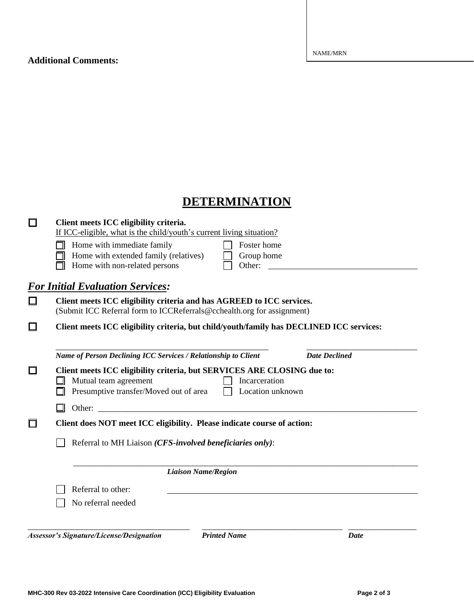#### **Additional Comments:**

# **DETERMINATION**

|   | Client meets ICC eligibility criteria.<br>If ICC-eligible, what is the child/youth's current living situation?                                                                  |  |  |  |  |
|---|---------------------------------------------------------------------------------------------------------------------------------------------------------------------------------|--|--|--|--|
|   | Home with immediate family<br>Foster home<br>Home with extended family (relatives)<br>Group home<br>Home with non-related persons<br>Other:                                     |  |  |  |  |
|   | <b>For Initial Evaluation Services:</b>                                                                                                                                         |  |  |  |  |
|   | Client meets ICC eligibility criteria and has AGREED to ICC services.<br>(Submit ICC Referral form to ICCReferrals@cchealth.org for assignment)                                 |  |  |  |  |
|   | Client meets ICC eligibility criteria, but child/youth/family has DECLINED ICC services:                                                                                        |  |  |  |  |
|   | Name of Person Declining ICC Services / Relationship to Client<br><b>Date Declined</b>                                                                                          |  |  |  |  |
| П | Client meets ICC eligibility criteria, but SERVICES ARE CLOSING due to:<br>Mutual team agreement<br>Incarceration<br>Presumptive transfer/Moved out of area<br>Location unknown |  |  |  |  |
|   | Other:                                                                                                                                                                          |  |  |  |  |
| ┓ | Client does NOT meet ICC eligibility. Please indicate course of action:                                                                                                         |  |  |  |  |
|   | Referral to MH Liaison (CFS-involved beneficiaries only):                                                                                                                       |  |  |  |  |
|   | <b>Liaison Name/Region</b>                                                                                                                                                      |  |  |  |  |
|   | Referral to other:                                                                                                                                                              |  |  |  |  |
|   | No referral needed                                                                                                                                                              |  |  |  |  |
|   | <b>Printed Name</b><br><b>Assessor's Signature/License/Designation</b><br>Date                                                                                                  |  |  |  |  |